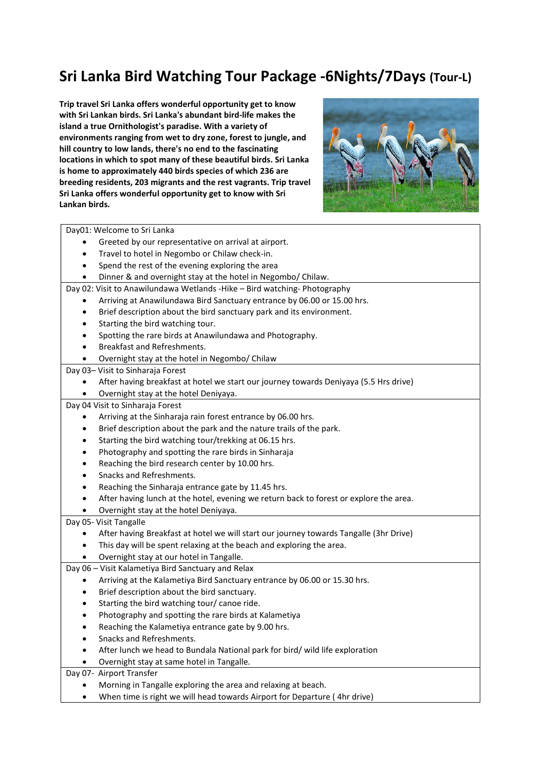# Sri Lanka Bird Watching Tour Package -6Nights/7Days (Tour-L)

Trip travel Sri Lanka offers wonderful opportunity get to know with Sri Lankan birds. Sri Lanka's abundant bird-life makes the island a true Ornithologist's paradise. With a variety of environments ranging from wet to dry zone, forest to jungle, and hill country to low lands, there's no end to the fascinating locations in which to spot many of these beautiful birds. Sri Lanka is home to approximately 440 birds species of which 236 are breeding residents, 203 migrants and the rest vagrants. Trip travel Sri Lanka offers wonderful opportunity get to know with Sri Lankan birds.



Day01: Welcome to Sri Lanka

- Greeted by our representative on arrival at airport.
- Travel to hotel in Negombo or Chilaw check-in.
- Spend the rest of the evening exploring the area
- Dinner & and overnight stay at the hotel in Negombo/ Chilaw.

Day 02: Visit to Anawilundawa Wetlands -Hike – Bird watching- Photography

- Arriving at Anawilundawa Bird Sanctuary entrance by 06.00 or 15.00 hrs.
- Brief description about the bird sanctuary park and its environment.
- Starting the bird watching tour.
- Spotting the rare birds at Anawilundawa and Photography.
- Breakfast and Refreshments.
- Overnight stay at the hotel in Negombo/ Chilaw

## Day 03– Visit to Sinharaja Forest

After having breakfast at hotel we start our journey towards Deniyaya (5.5 Hrs drive)

Overnight stay at the hotel Deniyaya.

## Day 04 Visit to Sinharaja Forest

- Arriving at the Sinharaja rain forest entrance by 06.00 hrs.
- Brief description about the park and the nature trails of the park.
- Starting the bird watching tour/trekking at 06.15 hrs.
- Photography and spotting the rare birds in Sinharaja
- Reaching the bird research center by 10.00 hrs.
- Snacks and Refreshments.
- Reaching the Sinharaja entrance gate by 11.45 hrs.
- After having lunch at the hotel, evening we return back to forest or explore the area.
- Overnight stay at the hotel Deniyaya.

### Day 05- Visit Tangalle

- After having Breakfast at hotel we will start our journey towards Tangalle (3hr Drive)
- This day will be spent relaxing at the beach and exploring the area.
- Overnight stay at our hotel in Tangalle.

```
Day 06 – Visit Kalametiya Bird Sanctuary and Relax
```
- Arriving at the Kalametiya Bird Sanctuary entrance by 06.00 or 15.30 hrs.
- Brief description about the bird sanctuary.
- Starting the bird watching tour/ canoe ride.
- Photography and spotting the rare birds at Kalametiya
- Reaching the Kalametiya entrance gate by 9.00 hrs.
- Snacks and Refreshments.
- After lunch we head to Bundala National park for bird/ wild life exploration
- Overnight stay at same hotel in Tangalle.

### Day 07- Airport Transfer

- Morning in Tangalle exploring the area and relaxing at beach.
- When time is right we will head towards Airport for Departure ( 4hr drive)